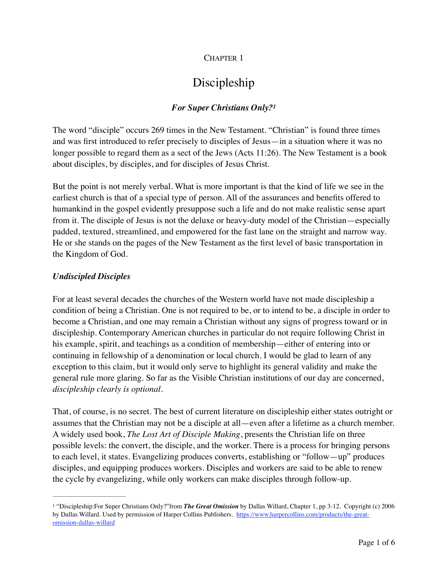#### CHAPTER 1

# <span id="page-0-1"></span>Discipleship

### *For Super Christians Only[?1](#page-0-0)*

The word "disciple" occurs 269 times in the New Testament. "Christian" is found three times and was first introduced to refer precisely to disciples of Jesus—in a situation where it was no longer possible to regard them as a sect of the Jews (Acts 11:26). The New Testament is a book about disciples, by disciples, and for disciples of Jesus Christ.

But the point is not merely verbal. What is more important is that the kind of life we see in the earliest church is that of a special type of person. All of the assurances and benefits offered to humankind in the gospel evidently presuppose such a life and do not make realistic sense apart from it. The disciple of Jesus is not the deluxe or heavy-duty model of the Christian—especially padded, textured, streamlined, and empowered for the fast lane on the straight and narrow way. He or she stands on the pages of the New Testament as the first level of basic transportation in the Kingdom of God.

#### *Undiscipled Disciples*

For at least several decades the churches of the Western world have not made discipleship a condition of being a Christian. One is not required to be, or to intend to be, a disciple in order to become a Christian, and one may remain a Christian without any signs of progress toward or in discipleship. Contemporary American churches in particular do not require following Christ in his example, spirit, and teachings as a condition of membership—either of entering into or continuing in fellowship of a denomination or local church. I would be glad to learn of any exception to this claim, but it would only serve to highlight its general validity and make the general rule more glaring. So far as the Visible Christian institutions of our day are concerned, *discipleship clearly is optional*.

That, of course, is no secret. The best of current literature on discipleship either states outright or assumes that the Christian may not be a disciple at all—even after a lifetime as a church member. A widely used book, *The Lost Art of Disciple Making*, presents the Christian life on three possible levels: the convert, the disciple, and the worker. There is a process for bringing persons to each level, it states. Evangelizing produces converts, establishing or "follow—up" produces disciples, and equipping produces workers. Disciples and workers are said to be able to renew the cycle by evangelizing, while only workers can make disciples through follow-up.

<span id="page-0-0"></span><sup>&</sup>lt;sup>[1](#page-0-1)</sup> "Discipleship:For Super Christians Only?"from *The Great Omission* by Dallas Willard, Chapter 1, pp 3-12. Copyright (c) 2006 by Dallas Willard. Used by permission of Harper Collins Publishers. [https://www.harpercollins.com/products/the-great](https://www.harpercollins.com/products/the-great-omission-dallas-willard)[omission-dallas-willard](https://www.harpercollins.com/products/the-great-omission-dallas-willard)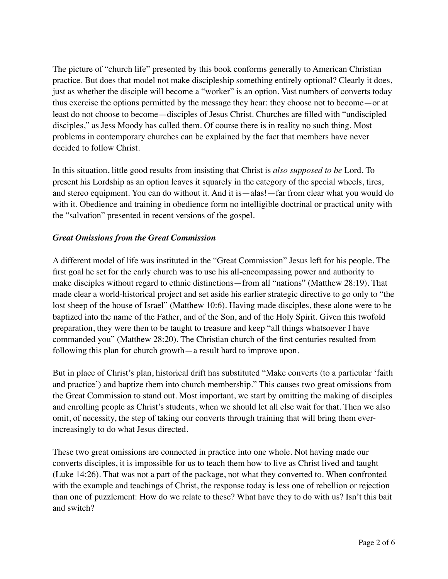The picture of "church life" presented by this book conforms generally to American Christian practice. But does that model not make discipleship something entirely optional? Clearly it does, just as whether the disciple will become a "worker" is an option. Vast numbers of converts today thus exercise the options permitted by the message they hear: they choose not to become—or at least do not choose to become—disciples of Jesus Christ. Churches are filled with "undiscipled disciples," as Jess Moody has called them. Of course there is in reality no such thing. Most problems in contemporary churches can be explained by the fact that members have never decided to follow Christ.

In this situation, little good results from insisting that Christ is *also supposed to be* Lord. To present his Lordship as an option leaves it squarely in the category of the special wheels, tires, and stereo equipment. You can do without it. And it is—alas!—far from clear what you would do with it. Obedience and training in obedience form no intelligible doctrinal or practical unity with the "salvation" presented in recent versions of the gospel.

#### *Great Omissions from the Great Commission*

A different model of life was instituted in the "Great Commission" Jesus left for his people. The first goal he set for the early church was to use his all-encompassing power and authority to make disciples without regard to ethnic distinctions—from all "nations" (Matthew 28:19). That made clear a world-historical project and set aside his earlier strategic directive to go only to "the lost sheep of the house of Israel" (Matthew 10:6). Having made disciples, these alone were to be baptized into the name of the Father, and of the Son, and of the Holy Spirit. Given this twofold preparation, they were then to be taught to treasure and keep "all things whatsoever I have commanded you" (Matthew 28:20). The Christian church of the first centuries resulted from following this plan for church growth—a result hard to improve upon.

But in place of Christ's plan, historical drift has substituted "Make converts (to a particular 'faith and practice') and baptize them into church membership." This causes two great omissions from the Great Commission to stand out. Most important, we start by omitting the making of disciples and enrolling people as Christ's students, when we should let all else wait for that. Then we also omit, of necessity, the step of taking our converts through training that will bring them everincreasingly to do what Jesus directed.

These two great omissions are connected in practice into one whole. Not having made our converts disciples, it is impossible for us to teach them how to live as Christ lived and taught (Luke 14:26). That was not a part of the package, not what they converted to. When confronted with the example and teachings of Christ, the response today is less one of rebellion or rejection than one of puzzlement: How do we relate to these? What have they to do with us? Isn't this bait and switch?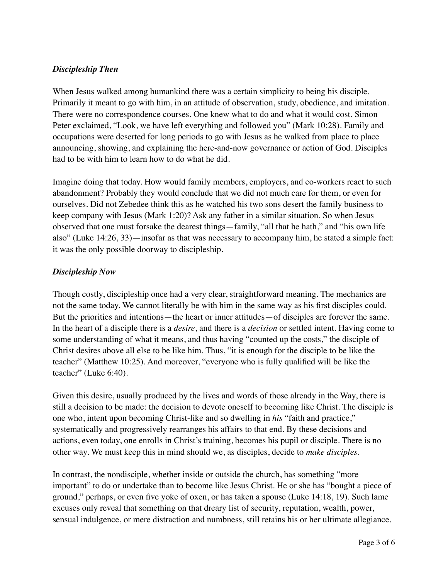### *Discipleship Then*

When Jesus walked among humankind there was a certain simplicity to being his disciple. Primarily it meant to go with him, in an attitude of observation, study, obedience, and imitation. There were no correspondence courses. One knew what to do and what it would cost. Simon Peter exclaimed, "Look, we have left everything and followed you" (Mark 10:28). Family and occupations were deserted for long periods to go with Jesus as he walked from place to place announcing, showing, and explaining the here-and-now governance or action of God. Disciples had to be with him to learn how to do what he did.

Imagine doing that today. How would family members, employers, and co-workers react to such abandonment? Probably they would conclude that we did not much care for them, or even for ourselves. Did not Zebedee think this as he watched his two sons desert the family business to keep company with Jesus (Mark 1:20)? Ask any father in a similar situation. So when Jesus observed that one must forsake the dearest things—family, "all that he hath," and "his own life also" (Luke 14:26, 33)—insofar as that was necessary to accompany him, he stated a simple fact: it was the only possible doorway to discipleship.

## *Discipleship Now*

Though costly, discipleship once had a very clear, straightforward meaning. The mechanics are not the same today. We cannot literally be with him in the same way as his first disciples could. But the priorities and intentions—the heart or inner attitudes—of disciples are forever the same. In the heart of a disciple there is a *desire*, and there is a *decision* or settled intent. Having come to some understanding of what it means, and thus having "counted up the costs," the disciple of Christ desires above all else to be like him. Thus, "it is enough for the disciple to be like the teacher" (Matthew 10:25). And moreover, "everyone who is fully qualified will be like the teacher" (Luke 6:40).

Given this desire, usually produced by the lives and words of those already in the Way, there is still a decision to be made: the decision to devote oneself to becoming like Christ. The disciple is one who, intent upon becoming Christ-like and so dwelling in *his* "faith and practice," systematically and progressively rearranges his affairs to that end. By these decisions and actions, even today, one enrolls in Christ's training, becomes his pupil or disciple. There is no other way. We must keep this in mind should we, as disciples, decide to *make disciples.*

In contrast, the nondisciple, whether inside or outside the church, has something "more important" to do or undertake than to become like Jesus Christ. He or she has "bought a piece of ground," perhaps, or even five yoke of oxen, or has taken a spouse (Luke 14:18, 19). Such lame excuses only reveal that something on that dreary list of security, reputation, wealth, power, sensual indulgence, or mere distraction and numbness, still retains his or her ultimate allegiance.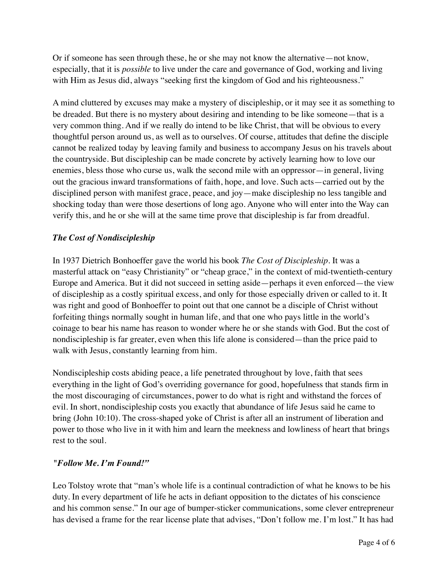Or if someone has seen through these, he or she may not know the alternative—not know, especially, that it is *possible* to live under the care and governance of God, working and living with Him as Jesus did, always "seeking first the kingdom of God and his righteousness."

A mind cluttered by excuses may make a mystery of discipleship, or it may see it as something to be dreaded. But there is no mystery about desiring and intending to be like someone—that is a very common thing. And if we really do intend to be like Christ, that will be obvious to every thoughtful person around us, as well as to ourselves. Of course, attitudes that define the disciple cannot be realized today by leaving family and business to accompany Jesus on his travels about the countryside. But discipleship can be made concrete by actively learning how to love our enemies, bless those who curse us, walk the second mile with an oppressor—in general, living out the gracious inward transformations of faith, hope, and love. Such acts—carried out by the disciplined person with manifest grace, peace, and joy—make discipleship no less tangible and shocking today than were those desertions of long ago. Anyone who will enter into the Way can verify this, and he or she will at the same time prove that discipleship is far from dreadful.

#### *The Cost of Nondiscipleship*

In 1937 Dietrich Bonhoeffer gave the world his book *The Cost of Discipleship.* It was a masterful attack on "easy Christianity" or "cheap grace," in the context of mid-twentieth-century Europe and America. But it did not succeed in setting aside—perhaps it even enforced—the view of discipleship as a costly spiritual excess, and only for those especially driven or called to it. It was right and good of Bonhoeffer to point out that one cannot be a disciple of Christ without forfeiting things normally sought in human life, and that one who pays little in the world's coinage to bear his name has reason to wonder where he or she stands with God. But the cost of nondiscipleship is far greater, even when this life alone is considered—than the price paid to walk with Jesus, constantly learning from him.

Nondiscipleship costs abiding peace, a life penetrated throughout by love, faith that sees everything in the light of God's overriding governance for good, hopefulness that stands firm in the most discouraging of circumstances, power to do what is right and withstand the forces of evil. In short, nondiscipleship costs you exactly that abundance of life Jesus said he came to bring (John 10:10). The cross-shaped yoke of Christ is after all an instrument of liberation and power to those who live in it with him and learn the meekness and lowliness of heart that brings rest to the soul.

#### *"Follow Me. I'm Found!"*

Leo Tolstoy wrote that "man's whole life is a continual contradiction of what he knows to be his duty. In every department of life he acts in defiant opposition to the dictates of his conscience and his common sense." In our age of bumper-sticker communications, some clever entrepreneur has devised a frame for the rear license plate that advises, "Don't follow me. I'm lost." It has had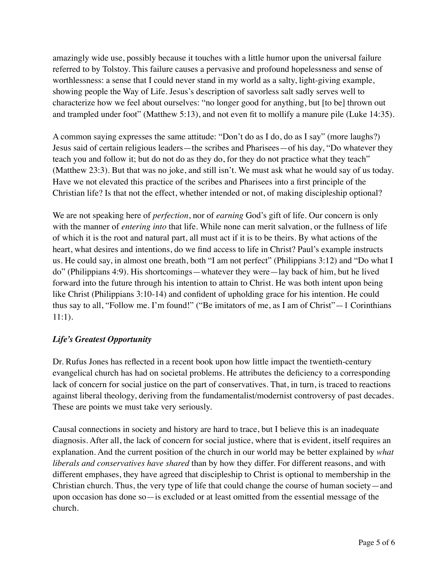amazingly wide use, possibly because it touches with a little humor upon the universal failure referred to by Tolstoy. This failure causes a pervasive and profound hopelessness and sense of worthlessness: a sense that I could never stand in my world as a salty, light-giving example, showing people the Way of Life. Jesus's description of savorless salt sadly serves well to characterize how we feel about ourselves: "no longer good for anything, but [to be] thrown out and trampled under foot" (Matthew 5:13), and not even fit to mollify a manure pile (Luke 14:35).

A common saying expresses the same attitude: "Don't do as I do, do as I say" (more laughs?) Jesus said of certain religious leaders—the scribes and Pharisees—of his day, "Do whatever they teach you and follow it; but do not do as they do, for they do not practice what they teach" (Matthew 23:3). But that was no joke, and still isn't. We must ask what he would say of us today. Have we not elevated this practice of the scribes and Pharisees into a first principle of the Christian life? Is that not the effect, whether intended or not, of making discipleship optional?

We are not speaking here of *perfection*, nor of *earning* God's gift of life. Our concern is only with the manner of *entering into* that life. While none can merit salvation, or the fullness of life of which it is the root and natural part, all must act if it is to be theirs. By what actions of the heart, what desires and intentions, do we find access to life in Christ? Paul's example instructs us. He could say, in almost one breath, both "I am not perfect" (Philippians 3:12) and "Do what I do" (Philippians 4:9). His shortcomings—whatever they were—lay back of him, but he lived forward into the future through his intention to attain to Christ. He was both intent upon being like Christ (Philippians 3:10-14) and confident of upholding grace for his intention. He could thus say to all, "Follow me. I'm found!" ("Be imitators of me, as I am of Christ"—1 Corinthians 11:1).

## *Life's Greatest Opportunity*

Dr. Rufus Jones has reflected in a recent book upon how little impact the twentieth-century evangelical church has had on societal problems. He attributes the deficiency to a corresponding lack of concern for social justice on the part of conservatives. That, in turn, is traced to reactions against liberal theology, deriving from the fundamentalist/modernist controversy of past decades. These are points we must take very seriously.

Causal connections in society and history are hard to trace, but I believe this is an inadequate diagnosis. After all, the lack of concern for social justice, where that is evident, itself requires an explanation. And the current position of the church in our world may be better explained by *what liberals and conservatives have shared* than by how they differ. For different reasons, and with different emphases, they have agreed that discipleship to Christ is optional to membership in the Christian church. Thus, the very type of life that could change the course of human society—and upon occasion has done so—is excluded or at least omitted from the essential message of the church.